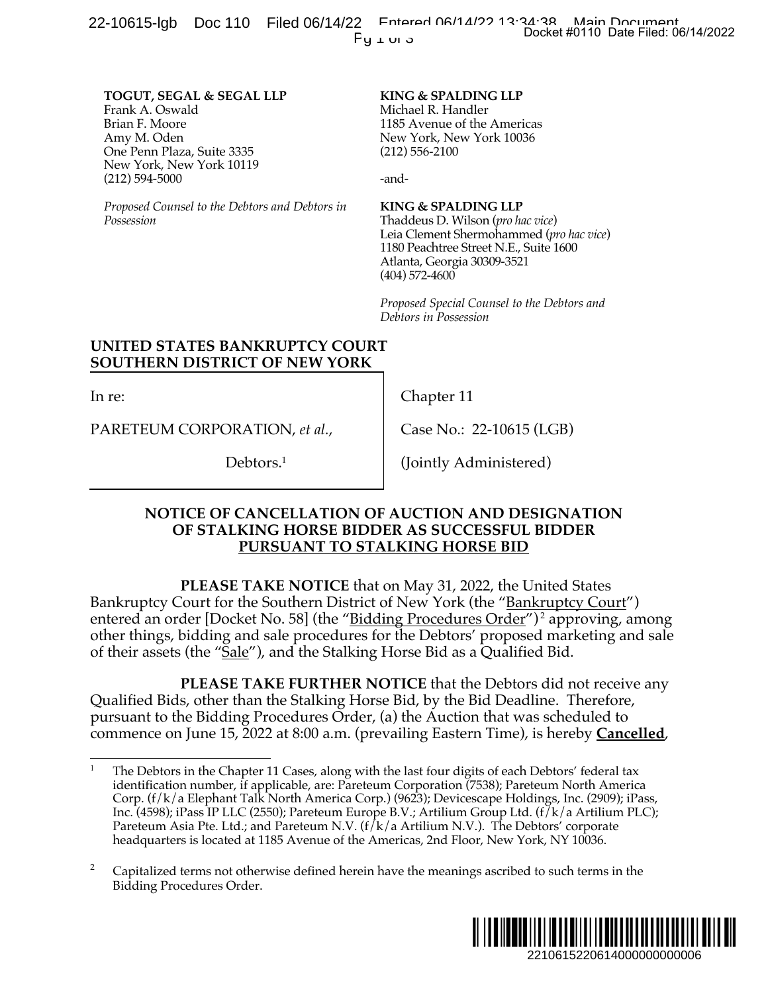**TOGUT, SEGAL & SEGAL LLP** Frank A. Oswald Brian F. Moore Amy M. Oden One Penn Plaza, Suite 3335 New York, New York 10119 (212) 594-5000

*Proposed Counsel to the Debtors and Debtors in Possession*

**KING & SPALDING LLP** Michael R. Handler 1185 Avenue of the Americas New York, New York 10036 (212) 556-2100

-and-

**KING & SPALDING LLP**

Thaddeus D. Wilson (*pro hac vice*) Leia Clement Shermohammed (*pro hac vice*) 1180 Peachtree Street N.E., Suite 1600 Atlanta, Georgia 30309-3521 (404) 572-4600

*Proposed Special Counsel to the Debtors and Debtors in Possession*

## **UNITED STATES BANKRUPTCY COURT SOUTHERN DISTRICT OF NEW YORK**

In re:

PARETEUM CORPORATION, *et al.*,

Debtors.<sup>1</sup>

Chapter 11

Case No.: 22-10615 (LGB)

(Jointly Administered)

## **NOTICE OF CANCELLATION OF AUCTION AND DESIGNATION OF STALKING HORSE BIDDER AS SUCCESSFUL BIDDER PURSUANT TO STALKING HORSE BID**

**PLEASE TAKE NOTICE** that on May 31, 2022, the United States Bankruptcy Court for the Southern District of New York (the "Bankruptcy Court") entered an order [Docket No. 58] (the "Bidding Procedures Order")<sup>2</sup> approving, among other things, bidding and sale procedures for the Debtors' proposed marketing and sale of their assets (the "Sale"), and the Stalking Horse Bid as a Qualified Bid. 2210615220614000000000006 Docket #0110 Date Filed: 06/14/2022

**PLEASE TAKE FURTHER NOTICE** that the Debtors did not receive any Qualified Bids, other than the Stalking Horse Bid, by the Bid Deadline. Therefore, pursuant to the Bidding Procedures Order, (a) the Auction that was scheduled to commence on June 15, 2022 at 8:00 a.m. (prevailing Eastern Time), is hereby **Cancelled**,

<sup>2</sup> Capitalized terms not otherwise defined herein have the meanings ascribed to such terms in the Bidding Procedures Order.



The Debtors in the Chapter 11 Cases, along with the last four digits of each Debtors' federal tax identification number, if applicable, are: Pareteum Corporation (7538); Pareteum North America Corp. (f/k/a Elephant Talk North America Corp.) (9623); Devicescape Holdings, Inc. (2909); iPass, Inc. (4598); iPass IP LLC (2550); Pareteum Europe B.V.; Artilium Group Ltd. (f/k/a Artilium PLC); Pareteum Asia Pte. Ltd.; and Pareteum N.V. ( $f/k/a$  Artilium N.V.). The Debtors' corporate headquarters is located at 1185 Avenue of the Americas, 2nd Floor, New York, NY 10036.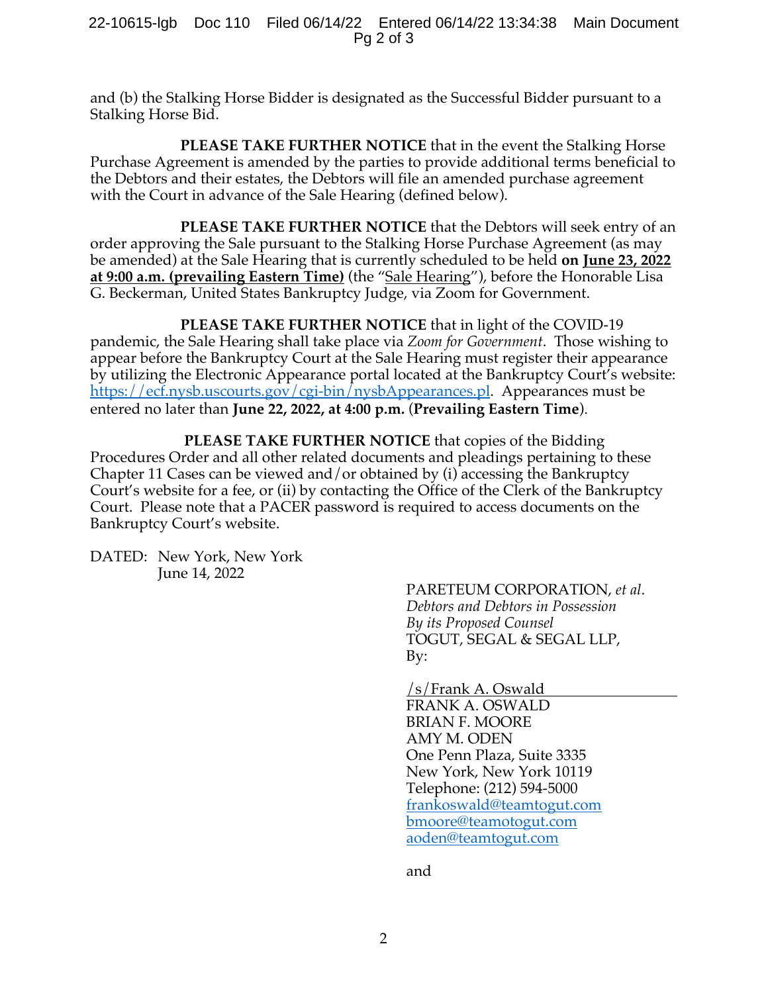and (b) the Stalking Horse Bidder is designated as the Successful Bidder pursuant to a Stalking Horse Bid.

**PLEASE TAKE FURTHER NOTICE** that in the event the Stalking Horse Purchase Agreement is amended by the parties to provide additional terms beneficial to the Debtors and their estates, the Debtors will file an amended purchase agreement with the Court in advance of the Sale Hearing (defined below).

**PLEASE TAKE FURTHER NOTICE** that the Debtors will seek entry of an order approving the Sale pursuant to the Stalking Horse Purchase Agreement (as may be amended) at the Sale Hearing that is currently scheduled to be held **on June 23, 2022 at 9:00 a.m. (prevailing Eastern Time)** (the "Sale Hearing"), before the Honorable Lisa G. Beckerman, United States Bankruptcy Judge, via Zoom for Government.

**PLEASE TAKE FURTHER NOTICE** that in light of the COVID-19 pandemic, the Sale Hearing shall take place via *Zoom for Government*. Those wishing to appear before the Bankruptcy Court at the Sale Hearing must register their appearance by utilizing the Electronic Appearance portal located at the Bankruptcy Court's website: https://ecf.nysb.uscourts.gov/cgi-bin/nysbAppearances.pl. Appearances must be entered no later than **June 22, 2022, at 4:00 p.m.** (**Prevailing Eastern Time**).

**PLEASE TAKE FURTHER NOTICE** that copies of the Bidding Procedures Order and all other related documents and pleadings pertaining to these Chapter 11 Cases can be viewed and/or obtained by (i) accessing the Bankruptcy Court's website for a fee, or (ii) by contacting the Office of the Clerk of the Bankruptcy Court. Please note that a PACER password is required to access documents on the Bankruptcy Court's website.

DATED: New York, New York June 14, 2022

PARETEUM CORPORATION, *et al*. *Debtors and Debtors in Possession By its Proposed Counsel* TOGUT, SEGAL & SEGAL LLP, By:

/s/Frank A. Oswald FRANK A. OSWALD BRIAN F. MOORE AMY M. ODEN One Penn Plaza, Suite 3335 New York, New York 10119 Telephone: (212) 594-5000 frankoswald@teamtogut.com bmoore@teamotogut.com aoden@teamtogut.com

and